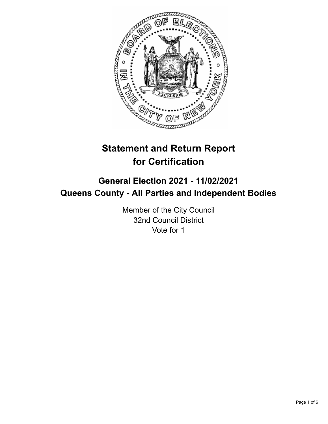

# **Statement and Return Report for Certification**

## **General Election 2021 - 11/02/2021 Queens County - All Parties and Independent Bodies**

Member of the City Council 32nd Council District Vote for 1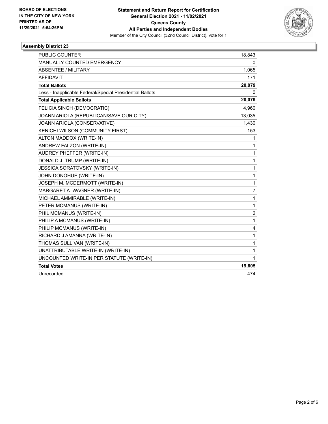

### **Assembly District 23**

| <b>PUBLIC COUNTER</b>                                    | 18,843           |
|----------------------------------------------------------|------------------|
| <b>MANUALLY COUNTED EMERGENCY</b>                        | 0                |
| ABSENTEE / MILITARY                                      | 1,065            |
| <b>AFFIDAVIT</b>                                         | 171              |
| <b>Total Ballots</b>                                     | 20,079           |
| Less - Inapplicable Federal/Special Presidential Ballots | 0                |
| <b>Total Applicable Ballots</b>                          | 20,079           |
| FELICIA SINGH (DEMOCRATIC)                               | 4,960            |
| JOANN ARIOLA (REPUBLICAN/SAVE OUR CITY)                  | 13,035           |
| JOANN ARIOLA (CONSERVATIVE)                              | 1,430            |
| KENICHI WILSON (COMMUNITY FIRST)                         | 153              |
| ALTON MADDOX (WRITE-IN)                                  | 1                |
| ANDREW FALZON (WRITE-IN)                                 | 1                |
| AUDREY PHEFFER (WRITE-IN)                                | 1                |
| DONALD J. TRUMP (WRITE-IN)                               | 1                |
| JESSICA SORATOVSKY (WRITE-IN)                            | 1                |
| JOHN DONOHUE (WRITE-IN)                                  | 1                |
| JOSEPH M. MCDERMOTT (WRITE-IN)                           | 1                |
| MARGARET A. WAGNER (WRITE-IN)                            | $\overline{7}$   |
| MICHAEL AMMIRABLE (WRITE-IN)                             | 1                |
| PETER MCMANUS (WRITE-IN)                                 | 1                |
| PHIL MCMANUS (WRITE-IN)                                  | $\boldsymbol{2}$ |
| PHILIP A MCMANUS (WRITE-IN)                              | 1                |
| PHILIP MCMANUS (WRITE-IN)                                | 4                |
| RICHARD J AMANNA (WRITE-IN)                              | 1                |
| THOMAS SULLIVAN (WRITE-IN)                               | 1                |
| UNATTRIBUTABLE WRITE-IN (WRITE-IN)                       | 1                |
| UNCOUNTED WRITE-IN PER STATUTE (WRITE-IN)                | 1                |
| <b>Total Votes</b>                                       | 19,605           |
| Unrecorded                                               | 474              |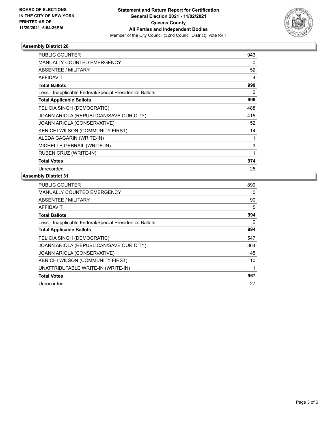

### **Assembly District 28**

| PUBLIC COUNTER                                           | 943          |
|----------------------------------------------------------|--------------|
| <b>MANUALLY COUNTED EMERGENCY</b>                        | 0            |
| <b>ABSENTEE / MILITARY</b>                               | 52           |
| AFFIDAVIT                                                | 4            |
| <b>Total Ballots</b>                                     | 999          |
| Less - Inapplicable Federal/Special Presidential Ballots | 0            |
| <b>Total Applicable Ballots</b>                          | 999          |
| <b>FELICIA SINGH (DEMOCRATIC)</b>                        | 488          |
| JOANN ARIOLA (REPUBLICAN/SAVE OUR CITY)                  | 415          |
| JOANN ARIOLA (CONSERVATIVE)                              | 52           |
| KENICHI WILSON (COMMUNITY FIRST)                         | 14           |
| ALEDA GAGARIN (WRITE-IN)                                 | 1            |
| MICHELLE GEBRAIL (WRITE-IN)                              | 3            |
| RUBEN CRUZ (WRITE-IN)                                    | $\mathbf{1}$ |
| <b>Total Votes</b>                                       | 974          |
| Unrecorded                                               | 25           |

#### **Assembly District 31**

| 899 |
|-----|
| 0   |
| 90  |
| 5   |
| 994 |
| 0   |
| 994 |
| 547 |
| 364 |
| 45  |
| 10  |
| 1   |
| 967 |
| 27  |
|     |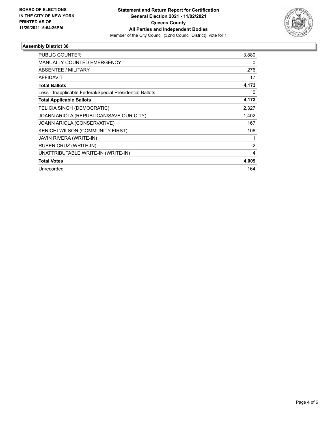

### **Assembly District 38**

| PUBLIC COUNTER                                           | 3,880          |
|----------------------------------------------------------|----------------|
| <b>MANUALLY COUNTED EMERGENCY</b>                        | 0              |
| <b>ABSENTEE / MILITARY</b>                               | 276            |
| <b>AFFIDAVIT</b>                                         | 17             |
| <b>Total Ballots</b>                                     | 4,173          |
| Less - Inapplicable Federal/Special Presidential Ballots | 0              |
| <b>Total Applicable Ballots</b>                          | 4,173          |
| FELICIA SINGH (DEMOCRATIC)                               | 2,327          |
| JOANN ARIOLA (REPUBLICAN/SAVE OUR CITY)                  | 1,402          |
| JOANN ARIOLA (CONSERVATIVE)                              | 167            |
| KENICHI WILSON (COMMUNITY FIRST)                         | 106            |
| JAVIN RIVERA (WRITE-IN)                                  | 1              |
| RUBEN CRUZ (WRITE-IN)                                    | $\overline{c}$ |
| UNATTRIBUTABLE WRITE-IN (WRITE-IN)                       | 4              |
| <b>Total Votes</b>                                       | 4,009          |
| Unrecorded                                               | 164            |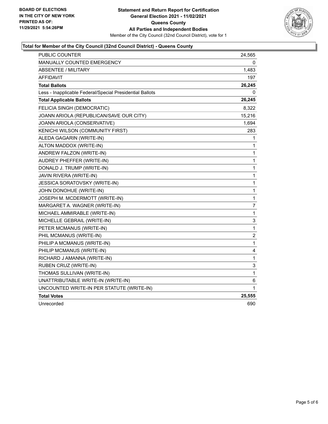

### **Total for Member of the City Council (32nd Council District) - Queens County**

| PUBLIC COUNTER                                           | 24,565                  |
|----------------------------------------------------------|-------------------------|
| MANUALLY COUNTED EMERGENCY                               | 0                       |
| ABSENTEE / MILITARY                                      | 1,483                   |
| AFFIDAVIT                                                | 197                     |
| <b>Total Ballots</b>                                     | 26,245                  |
| Less - Inapplicable Federal/Special Presidential Ballots | 0                       |
| <b>Total Applicable Ballots</b>                          | 26,245                  |
| FELICIA SINGH (DEMOCRATIC)                               | 8,322                   |
| JOANN ARIOLA (REPUBLICAN/SAVE OUR CITY)                  | 15,216                  |
| JOANN ARIOLA (CONSERVATIVE)                              | 1,694                   |
| KENICHI WILSON (COMMUNITY FIRST)                         | 283                     |
| ALEDA GAGARIN (WRITE-IN)                                 | 1                       |
| ALTON MADDOX (WRITE-IN)                                  | 1                       |
| ANDREW FALZON (WRITE-IN)                                 | 1                       |
| AUDREY PHEFFER (WRITE-IN)                                | $\mathbf{1}$            |
| DONALD J. TRUMP (WRITE-IN)                               | 1                       |
| JAVIN RIVERA (WRITE-IN)                                  | 1                       |
| JESSICA SORATOVSKY (WRITE-IN)                            | 1                       |
| JOHN DONOHUE (WRITE-IN)                                  | 1                       |
| JOSEPH M. MCDERMOTT (WRITE-IN)                           | $\mathbf{1}$            |
| MARGARET A. WAGNER (WRITE-IN)                            | 7                       |
| MICHAEL AMMIRABLE (WRITE-IN)                             | 1                       |
| MICHELLE GEBRAIL (WRITE-IN)                              | 3                       |
| PETER MCMANUS (WRITE-IN)                                 | 1                       |
| PHIL MCMANUS (WRITE-IN)                                  | $\overline{\mathbf{c}}$ |
| PHILIP A MCMANUS (WRITE-IN)                              | $\mathbf{1}$            |
| PHILIP MCMANUS (WRITE-IN)                                | 4                       |
| RICHARD J AMANNA (WRITE-IN)                              | 1                       |
| RUBEN CRUZ (WRITE-IN)                                    | 3                       |
| THOMAS SULLIVAN (WRITE-IN)                               | 1                       |
| UNATTRIBUTABLE WRITE-IN (WRITE-IN)                       | 6                       |
| UNCOUNTED WRITE-IN PER STATUTE (WRITE-IN)                | 1                       |
| <b>Total Votes</b>                                       | 25,555                  |
| Unrecorded                                               | 690                     |